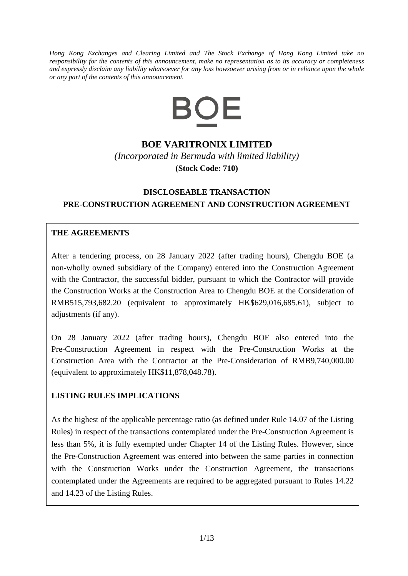*Hong Kong Exchanges and Clearing Limited and The Stock Exchange of Hong Kong Limited take no responsibility for the contents of this announcement, make no representation as to its accuracy or completeness and expressly disclaim any liability whatsoever for any loss howsoever arising from or in reliance upon the whole or any part of the contents of this announcement.*



## **BOE VARITRONIX LIMITED**

*(Incorporated in Bermuda with limited liability)* **(Stock Code: 710)**

# **DISCLOSEABLE TRANSACTION PRE-CONSTRUCTION AGREEMENT AND CONSTRUCTION AGREEMENT**

### **THE AGREEMENTS**

After a tendering process, on 28 January 2022 (after trading hours), Chengdu BOE (a non-wholly owned subsidiary of the Company) entered into the Construction Agreement with the Contractor, the successful bidder, pursuant to which the Contractor will provide the Construction Works at the Construction Area to Chengdu BOE at the Consideration of RMB515,793,682.20 (equivalent to approximately HK\$629,016,685.61), subject to adjustments (if any).

On 28 January 2022 (after trading hours), Chengdu BOE also entered into the Pre-Construction Agreement in respect with the Pre-Construction Works at the Construction Area with the Contractor at the Pre-Consideration of RMB9,740,000.00 (equivalent to approximately HK\$11,878,048.78).

### **LISTING RULES IMPLICATIONS**

As the highest of the applicable percentage ratio (as defined under Rule 14.07 of the Listing Rules) in respect of the transactions contemplated under the Pre-Construction Agreement is less than 5%, it is fully exempted under Chapter 14 of the Listing Rules. However, since the Pre-Construction Agreement was entered into between the same parties in connection with the Construction Works under the Construction Agreement, the transactions contemplated under the Agreements are required to be aggregated pursuant to Rules 14.22 and 14.23 of the Listing Rules.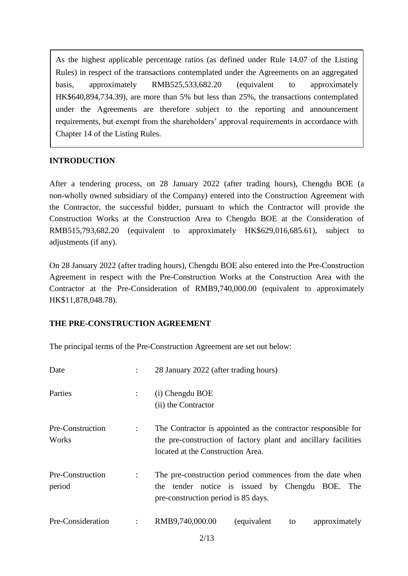As the highest applicable percentage ratios (as defined under Rule 14.07 of the Listing Rules) in respect of the transactions contemplated under the Agreements on an aggregated basis, approximately RMB525,533,682.20 (equivalent to approximately HK\$640,894,734.39), are more than 5% but less than 25%, the transactions contemplated under the Agreements are therefore subject to the reporting and announcement requirements, but exempt from the shareholders' approval requirements in accordance with Chapter 14 of the Listing Rules.

#### **INTRODUCTION**

After a tendering process, on 28 January 2022 (after trading hours), Chengdu BOE (a non-wholly owned subsidiary of the Company) entered into the Construction Agreement with the Contractor, the successful bidder, pursuant to which the Contractor will provide the Construction Works at the Construction Area to Chengdu BOE at the Consideration of RMB515,793,682.20 (equivalent to approximately HK\$629,016,685.61), subject to adjustments (if any).

On 28 January 2022 (after trading hours), Chengdu BOE also entered into the Pre-Construction Agreement in respect with the Pre-Construction Works at the Construction Area with the Contractor at the Pre-Consideration of RMB9,740,000.00 (equivalent to approximately HK\$11,878,048.78).

### **THE PRE-CONSTRUCTION AGREEMENT**

The principal terms of the Pre-Construction Agreement are set out below:

| Date                       |                      | 28 January 2022 (after trading hours)                                                                                                                                |
|----------------------------|----------------------|----------------------------------------------------------------------------------------------------------------------------------------------------------------------|
| Parties                    |                      | (i) Chengdu BOE<br>(ii) the Contractor                                                                                                                               |
| Pre-Construction<br>Works  | $\ddot{\phantom{0}}$ | The Contractor is appointed as the contractor responsible for<br>the pre-construction of factory plant and ancillary facilities<br>located at the Construction Area. |
| Pre-Construction<br>period | $\ddot{\cdot}$       | The pre-construction period commences from the date when<br>the tender notice is issued by Chengdu BOE. The<br>pre-construction period is 85 days.                   |
| Pre-Consideration          | $\ddot{\phantom{a}}$ | RMB9,740,000.00<br>(equivalent<br>approximately<br>to                                                                                                                |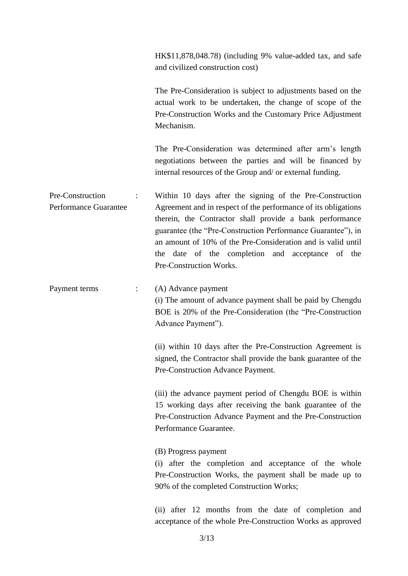HK\$11,878,048.78) (including 9% value-added tax, and safe and civilized construction cost)

The Pre-Consideration is subject to adjustments based on the actual work to be undertaken, the change of scope of the Pre-Construction Works and the Customary Price Adjustment Mechanism.

The Pre-Consideration was determined after arm's length negotiations between the parties and will be financed by internal resources of the Group and/ or external funding.

Pre-Construction Performance Guarantee : Within 10 days after the signing of the Pre-Construction Agreement and in respect of the performance of its obligations therein, the Contractor shall provide a bank performance guarantee (the "Pre-Construction Performance Guarantee"), in an amount of 10% of the Pre-Consideration and is valid until the date of the completion and acceptance of the Pre-Construction Works.

Payment terms : (A) Advance payment (i) The amount of advance payment shall be paid by Chengdu BOE is 20% of the Pre-Consideration (the "Pre-Construction Advance Payment").

> (ii) within 10 days after the Pre-Construction Agreement is signed, the Contractor shall provide the bank guarantee of the Pre-Construction Advance Payment.

> (iii) the advance payment period of Chengdu BOE is within 15 working days after receiving the bank guarantee of the Pre-Construction Advance Payment and the Pre-Construction Performance Guarantee.

(B) Progress payment

(i) after the completion and acceptance of the whole Pre-Construction Works, the payment shall be made up to 90% of the completed Construction Works;

(ii) after 12 months from the date of completion and acceptance of the whole Pre-Construction Works as approved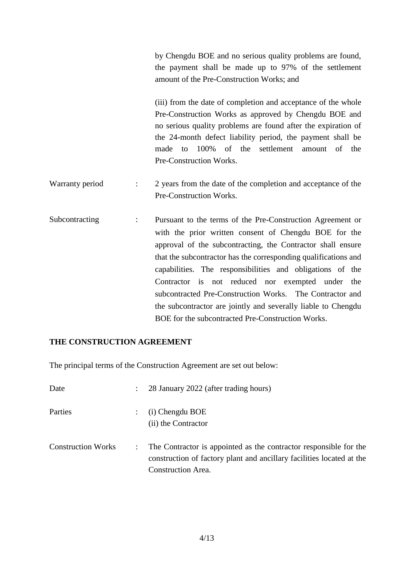by Chengdu BOE and no serious quality problems are found, the payment shall be made up to 97% of the settlement amount of the Pre-Construction Works; and

(iii) from the date of completion and acceptance of the whole Pre-Construction Works as approved by Chengdu BOE and no serious quality problems are found after the expiration of the 24-month defect liability period, the payment shall be made to 100% of the settlement amount of the Pre-Construction Works.

- Warranty period : 2 years from the date of the completion and acceptance of the Pre-Construction Works.
- Subcontracting : Pursuant to the terms of the Pre-Construction Agreement or with the prior written consent of Chengdu BOE for the approval of the subcontracting, the Contractor shall ensure that the subcontractor has the corresponding qualifications and capabilities. The responsibilities and obligations of the Contractor is not reduced nor exempted under the subcontracted Pre-Construction Works. The Contractor and the subcontractor are jointly and severally liable to Chengdu BOE for the subcontracted Pre-Construction Works.

### **THE CONSTRUCTION AGREEMENT**

The principal terms of the Construction Agreement are set out below:

| Date                      | $\mathbb{R}^{\mathbb{Z}}$ | 28 January 2022 (after trading hours)                                                                                                                                   |
|---------------------------|---------------------------|-------------------------------------------------------------------------------------------------------------------------------------------------------------------------|
| Parties                   |                           | (i) Chengdu BOE<br>(ii) the Contractor                                                                                                                                  |
| <b>Construction Works</b> |                           | The Contractor is appointed as the contractor responsible for the<br>construction of factory plant and ancillary facilities located at the<br><b>Construction Area.</b> |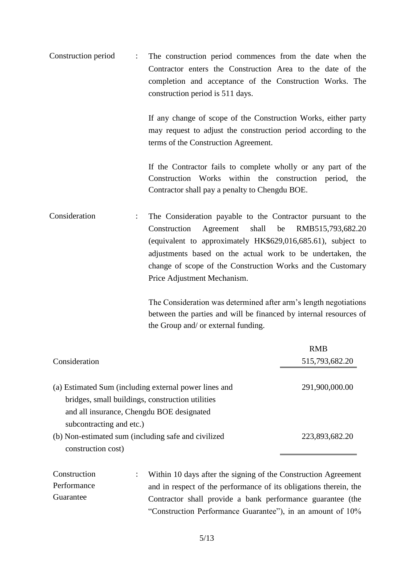Construction period : The construction period commences from the date when the Contractor enters the Construction Area to the date of the completion and acceptance of the Construction Works. The construction period is 511 days.

> If any change of scope of the Construction Works, either party may request to adjust the construction period according to the terms of the Construction Agreement.

> If the Contractor fails to complete wholly or any part of the Construction Works within the construction period, the Contractor shall pay a penalty to Chengdu BOE.

Consideration : The Consideration payable to the Contractor pursuant to the Construction Agreement shall be RMB515,793,682.20 (equivalent to approximately HK\$629,016,685.61), subject to adjustments based on the actual work to be undertaken, the change of scope of the Construction Works and the Customary Price Adjustment Mechanism.

> The Consideration was determined after arm's length negotiations between the parties and will be financed by internal resources of the Group and/ or external funding.

|                                                       | <b>RMB</b>     |
|-------------------------------------------------------|----------------|
| Consideration                                         | 515,793,682.20 |
|                                                       |                |
| (a) Estimated Sum (including external power lines and | 291,900,000.00 |
| bridges, small buildings, construction utilities      |                |
| and all insurance, Chengdu BOE designated             |                |
| subcontracting and etc.)                              |                |
| (b) Non-estimated sum (including safe and civilized   | 223,893,682.20 |
| construction cost)                                    |                |

Construction Performance Guarantee : Within 10 days after the signing of the Construction Agreement and in respect of the performance of its obligations therein, the Contractor shall provide a bank performance guarantee (the "Construction Performance Guarantee"), in an amount of 10%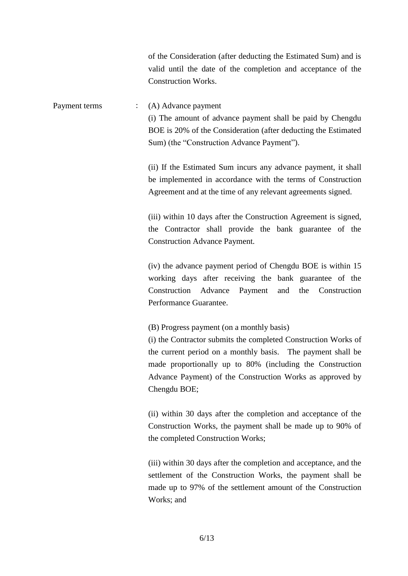of the Consideration (after deducting the Estimated Sum) and is valid until the date of the completion and acceptance of the Construction Works.

Payment terms : (A) Advance payment (i) The amount of advance payment shall be paid by Chengdu BOE is 20% of the Consideration (after deducting the Estimated Sum) (the "Construction Advance Payment").

> (ii) If the Estimated Sum incurs any advance payment, it shall be implemented in accordance with the terms of Construction Agreement and at the time of any relevant agreements signed.

> (iii) within 10 days after the Construction Agreement is signed, the Contractor shall provide the bank guarantee of the Construction Advance Payment.

> (iv) the advance payment period of Chengdu BOE is within 15 working days after receiving the bank guarantee of the Construction Advance Payment and the Construction Performance Guarantee.

(B) Progress payment (on a monthly basis)

(i) the Contractor submits the completed Construction Works of the current period on a monthly basis. The payment shall be made proportionally up to 80% (including the Construction Advance Payment) of the Construction Works as approved by Chengdu BOE;

(ii) within 30 days after the completion and acceptance of the Construction Works, the payment shall be made up to 90% of the completed Construction Works;

(iii) within 30 days after the completion and acceptance, and the settlement of the Construction Works, the payment shall be made up to 97% of the settlement amount of the Construction Works; and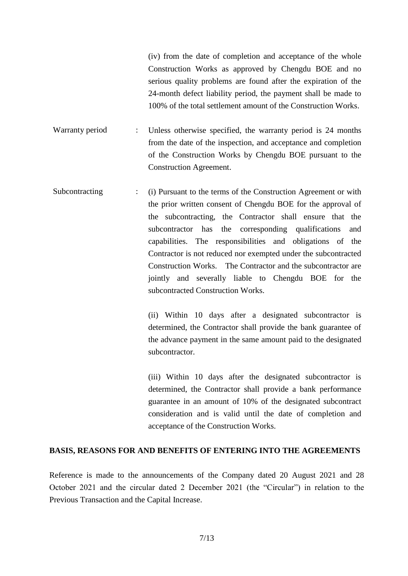(iv) from the date of completion and acceptance of the whole Construction Works as approved by Chengdu BOE and no serious quality problems are found after the expiration of the 24-month defect liability period, the payment shall be made to 100% of the total settlement amount of the Construction Works.

Warranty period : Unless otherwise specified, the warranty period is 24 months from the date of the inspection, and acceptance and completion of the Construction Works by Chengdu BOE pursuant to the Construction Agreement.

Subcontracting : (i) Pursuant to the terms of the Construction Agreement or with the prior written consent of Chengdu BOE for the approval of the subcontracting, the Contractor shall ensure that the subcontractor has the corresponding qualifications and capabilities. The responsibilities and obligations of the Contractor is not reduced nor exempted under the subcontracted Construction Works. The Contractor and the subcontractor are jointly and severally liable to Chengdu BOE for the subcontracted Construction Works.

> (ii) Within 10 days after a designated subcontractor is determined, the Contractor shall provide the bank guarantee of the advance payment in the same amount paid to the designated subcontractor.

> (iii) Within 10 days after the designated subcontractor is determined, the Contractor shall provide a bank performance guarantee in an amount of 10% of the designated subcontract consideration and is valid until the date of completion and acceptance of the Construction Works.

#### **BASIS, REASONS FOR AND BENEFITS OF ENTERING INTO THE AGREEMENTS**

Reference is made to the announcements of the Company dated 20 August 2021 and 28 October 2021 and the circular dated 2 December 2021 (the "Circular") in relation to the Previous Transaction and the Capital Increase.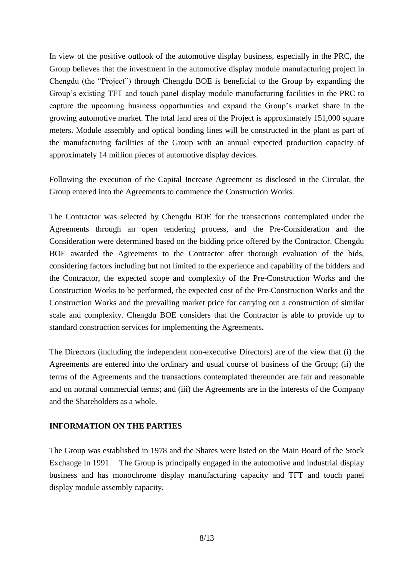In view of the positive outlook of the automotive display business, especially in the PRC, the Group believes that the investment in the automotive display module manufacturing project in Chengdu (the "Project") through Chengdu BOE is beneficial to the Group by expanding the Group's existing TFT and touch panel display module manufacturing facilities in the PRC to capture the upcoming business opportunities and expand the Group's market share in the growing automotive market. The total land area of the Project is approximately 151,000 square meters. Module assembly and optical bonding lines will be constructed in the plant as part of the manufacturing facilities of the Group with an annual expected production capacity of approximately 14 million pieces of automotive display devices.

Following the execution of the Capital Increase Agreement as disclosed in the Circular, the Group entered into the Agreements to commence the Construction Works.

The Contractor was selected by Chengdu BOE for the transactions contemplated under the Agreements through an open tendering process, and the Pre-Consideration and the Consideration were determined based on the bidding price offered by the Contractor. Chengdu BOE awarded the Agreements to the Contractor after thorough evaluation of the bids, considering factors including but not limited to the experience and capability of the bidders and the Contractor, the expected scope and complexity of the Pre-Construction Works and the Construction Works to be performed, the expected cost of the Pre-Construction Works and the Construction Works and the prevailing market price for carrying out a construction of similar scale and complexity. Chengdu BOE considers that the Contractor is able to provide up to standard construction services for implementing the Agreements.

The Directors (including the independent non-executive Directors) are of the view that (i) the Agreements are entered into the ordinary and usual course of business of the Group; (ii) the terms of the Agreements and the transactions contemplated thereunder are fair and reasonable and on normal commercial terms; and (iii) the Agreements are in the interests of the Company and the Shareholders as a whole.

### **INFORMATION ON THE PARTIES**

The Group was established in 1978 and the Shares were listed on the Main Board of the Stock Exchange in 1991. The Group is principally engaged in the automotive and industrial display business and has monochrome display manufacturing capacity and TFT and touch panel display module assembly capacity.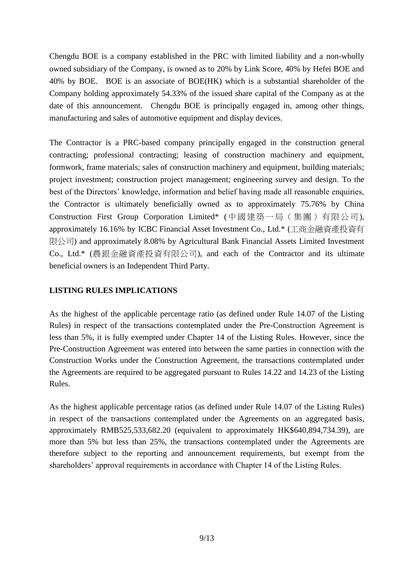Chengdu BOE is a company established in the PRC with limited liability and a non-wholly owned subsidiary of the Company, is owned as to 20% by Link Score, 40% by Hefei BOE and 40% by BOE. BOE is an associate of BOE(HK) which is a substantial shareholder of the Company holding approximately 54.33% of the issued share capital of the Company as at the date of this announcement. Chengdu BOE is principally engaged in, among other things, manufacturing and sales of automotive equipment and display devices.

The Contractor is a PRC-based company principally engaged in the construction general contracting; professional contracting; leasing of construction machinery and equipment, formwork, frame materials; sales of construction machinery and equipment, building materials; project investment; construction project management; engineering survey and design. To the best of the Directors' knowledge, information and belief having made all reasonable enquiries, the Contractor is ultimately beneficially owned as to approximately 75.76% by China Construction First Group Corporation Limited\* (中國建築一局(集團)有限公司), approximately 16.16% by ICBC Financial Asset Investment Co., Ltd.\* (工商金融資產投資有 限公司) and approximately 8.08% by Agricultural Bank Financial Assets Limited Investment Co., Ltd.\* (農銀金融資產投資有限公司), and each of the Contractor and its ultimate beneficial owners is an Independent Third Party.

### **LISTING RULES IMPLICATIONS**

As the highest of the applicable percentage ratio (as defined under Rule 14.07 of the Listing Rules) in respect of the transactions contemplated under the Pre-Construction Agreement is less than 5%, it is fully exempted under Chapter 14 of the Listing Rules. However, since the Pre-Construction Agreement was entered into between the same parties in connection with the Construction Works under the Construction Agreement, the transactions contemplated under the Agreements are required to be aggregated pursuant to Rules 14.22 and 14.23 of the Listing Rules.

As the highest applicable percentage ratios (as defined under Rule 14.07 of the Listing Rules) in respect of the transactions contemplated under the Agreements on an aggregated basis, approximately RMB525,533,682.20 (equivalent to approximately HK\$640,894,734.39), are more than 5% but less than 25%, the transactions contemplated under the Agreements are therefore subject to the reporting and announcement requirements, but exempt from the shareholders' approval requirements in accordance with Chapter 14 of the Listing Rules.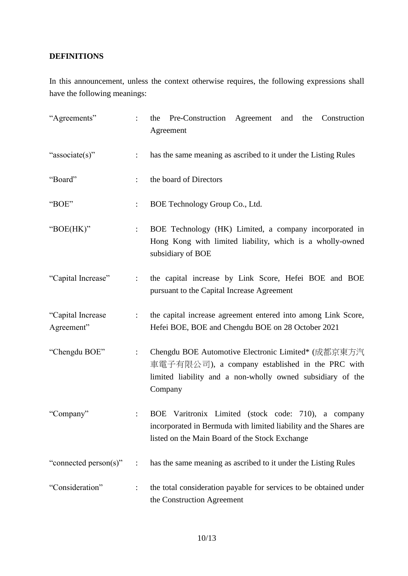## **DEFINITIONS**

In this announcement, unless the context otherwise requires, the following expressions shall have the following meanings:

| "Agreements"                    |                           | the Pre-Construction Agreement and the<br>Construction<br>Agreement                                                                                                            |
|---------------------------------|---------------------------|--------------------------------------------------------------------------------------------------------------------------------------------------------------------------------|
| "associate(s)"                  | $\ddot{\cdot}$            | has the same meaning as ascribed to it under the Listing Rules                                                                                                                 |
| "Board"                         |                           | the board of Directors                                                                                                                                                         |
| "BOE"                           |                           | BOE Technology Group Co., Ltd.                                                                                                                                                 |
| "BOE(HK)"                       | $\ddot{\cdot}$            | BOE Technology (HK) Limited, a company incorporated in<br>Hong Kong with limited liability, which is a wholly-owned<br>subsidiary of BOE                                       |
| "Capital Increase"              | $\mathbb{Z}^{\mathbb{Z}}$ | the capital increase by Link Score, Hefei BOE and BOE<br>pursuant to the Capital Increase Agreement                                                                            |
| "Capital Increase<br>Agreement" | $\ddot{\cdot}$            | the capital increase agreement entered into among Link Score,<br>Hefei BOE, BOE and Chengdu BOE on 28 October 2021                                                             |
| "Chengdu BOE"                   | $\ddot{\cdot}$            | Chengdu BOE Automotive Electronic Limited* (成都京東方汽<br>車電子有限公司), a company established in the PRC with<br>limited liability and a non-wholly owned subsidiary of the<br>Company |
| "Company"                       |                           | BOE Varitronix Limited (stock code: 710), a company<br>incorporated in Bermuda with limited liability and the Shares are<br>listed on the Main Board of the Stock Exchange     |
| "connected person(s)"           | $\ddot{\cdot}$            | has the same meaning as ascribed to it under the Listing Rules                                                                                                                 |
| "Consideration"                 | $\ddot{\cdot}$            | the total consideration payable for services to be obtained under<br>the Construction Agreement                                                                                |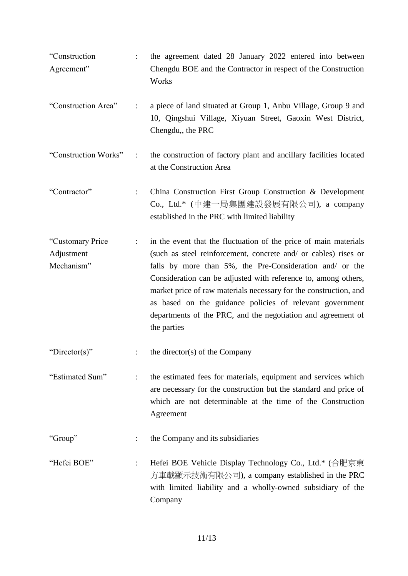"Construction Agreement" : the agreement dated 28 January 2022 entered into between Chengdu BOE and the Contractor in respect of the Construction **Works** "Construction Area" : a piece of land situated at Group 1, Anbu Village, Group 9 and 10, Qingshui Village, Xiyuan Street, Gaoxin West District, Chengdu,, the PRC "Construction Works" : the construction of factory plant and ancillary facilities located at the Construction Area "Contractor" : China Construction First Group Construction & Development Co., Ltd.\* (中建一局集團建設發展有限公司), a company established in the PRC with limited liability "Customary Price Adjustment Mechanism" : in the event that the fluctuation of the price of main materials (such as steel reinforcement, concrete and/ or cables) rises or falls by more than 5%, the Pre-Consideration and/ or the Consideration can be adjusted with reference to, among others, market price of raw materials necessary for the construction, and as based on the guidance policies of relevant government departments of the PRC, and the negotiation and agreement of the parties "Director(s)"  $\qquad$ : the director(s) of the Company "Estimated Sum" : the estimated fees for materials, equipment and services which are necessary for the construction but the standard and price of which are not determinable at the time of the Construction Agreement "Group" : the Company and its subsidiaries "Hefei BOE" : Hefei BOE Vehicle Display Technology Co., Ltd.\* (合肥京東 方車載顯示技術有限公司), a company established in the PRC with limited liability and a wholly-owned subsidiary of the Company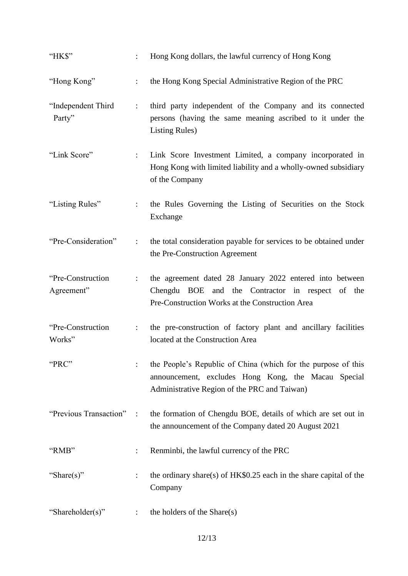| "HK\$"                          | $\mathbb{R}^{\mathbb{Z}}$ | Hong Kong dollars, the lawful currency of Hong Kong                                                                                                                  |
|---------------------------------|---------------------------|----------------------------------------------------------------------------------------------------------------------------------------------------------------------|
| "Hong Kong"                     | $\ddot{\cdot}$            | the Hong Kong Special Administrative Region of the PRC                                                                                                               |
| "Independent Third<br>Party"    | $\mathbb{Z}^{\mathbb{Z}}$ | third party independent of the Company and its connected<br>persons (having the same meaning ascribed to it under the<br><b>Listing Rules</b> )                      |
| "Link Score"                    | $\mathbb{R}^{\mathbb{Z}}$ | Link Score Investment Limited, a company incorporated in<br>Hong Kong with limited liability and a wholly-owned subsidiary<br>of the Company                         |
| "Listing Rules"                 |                           | the Rules Governing the Listing of Securities on the Stock<br>Exchange                                                                                               |
| "Pre-Consideration"             | $\mathbb{R}^{\mathbb{Z}}$ | the total consideration payable for services to be obtained under<br>the Pre-Construction Agreement                                                                  |
| "Pre-Construction<br>Agreement" | $\mathcal{L}$             | the agreement dated 28 January 2022 entered into between<br>Chengdu BOE and the Contractor in respect of the<br>Pre-Construction Works at the Construction Area      |
| "Pre-Construction<br>Works"     | $\mathbb{R}^{\mathbb{Z}}$ | the pre-construction of factory plant and ancillary facilities<br>located at the Construction Area                                                                   |
| "PRC"                           |                           | the People's Republic of China (which for the purpose of this<br>announcement, excludes Hong Kong, the Macau Special<br>Administrative Region of the PRC and Taiwan) |
| "Previous Transaction":         |                           | the formation of Chengdu BOE, details of which are set out in<br>the announcement of the Company dated 20 August 2021                                                |
| "RMB"                           |                           | Renminbi, the lawful currency of the PRC                                                                                                                             |
| "Share(s)"                      |                           | the ordinary share(s) of $HK$0.25$ each in the share capital of the<br>Company                                                                                       |
| "Shareholder(s)"                |                           | the holders of the Share(s)                                                                                                                                          |